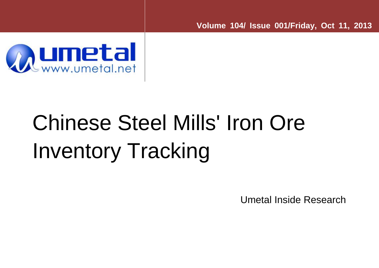**Volume 104/ Issue 001/Friday, Oct 11, 2013** 



## Chinese Steel Mills' Iron Ore Inventory Tracking

Umetal Inside Research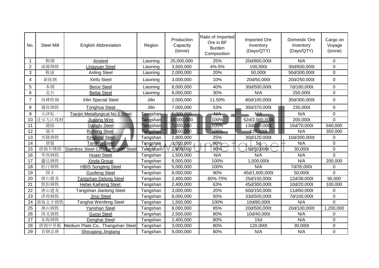| No.            | <b>Steel Mill</b> | <b>English Abbreviation</b>             | Region                  | Production<br>Capacity<br>(tonne) | Ratio of Imported<br>Ore in BF<br><b>Burden</b><br>Composition | <b>Imported Ore</b><br>Inventory<br>(Days/QTY) | Domestic Ore<br>Inventory<br>(Days/QTY) | Cargo on<br>Voyage<br>(tonne) |
|----------------|-------------------|-----------------------------------------|-------------------------|-----------------------------------|----------------------------------------------------------------|------------------------------------------------|-----------------------------------------|-------------------------------|
| 1              | 鞍钢                | Ansteel                                 | Liaoning                | 25,000,000                        | 25%                                                            | 20d/800,000t                                   | N/A                                     | $\mathbf 0$                   |
| $\overline{2}$ | 凌源钢铁              | Lingyuan Steel                          | Liaoning                | 3,500,000                         | 4%-5%                                                          | 100,000t                                       | 30d/600,000t                            | $\mathbf 0$                   |
| 3              | 鞍凌                | <b>Anling Steel</b>                     | Liaoning                | 2,000,000                         | 20%                                                            | 50,000t                                        | 50d/300,000t                            | $\mathbf 0$                   |
| 4              | 新抚钢               | Xinfu Steel                             | Liaoning                | 3,000,000                         | 10%                                                            | 20d/50,000t                                    | 20d/250,000t                            | $\mathbf 0$                   |
| 5              | 本钢                | <b>Benxi Steel</b>                      | Liaoning                | 8,000,000                         | 40%                                                            | 30d/500,000t                                   | 7d/180,000t                             | $\overline{0}$                |
| 6              | 北台                | <b>Beitai Steel</b>                     | Liaoning                | 8,000,000                         | 30%                                                            | N/A                                            | 250,000t                                | $\mathbf 0$                   |
| $\overline{7}$ | 西林特钢              | Xilin Special Steel                     | Jilin                   | 2,000,000                         | 11.50%                                                         | 80d/100,000t                                   | 30d/300,000t                            | $\mathbf 0$                   |
| 8              | 通化钢铁              | <b>Tonghua Steel</b>                    | Jilin                   | 7,000,000                         | 53%                                                            | 30d/370,000t                                   | 230,000t                                | $\mathbf 0$                   |
| 9              | 天津轧一              | <b>Tianjin Metallurgical No.1 Steel</b> | Tangshan <sub>∎</sub>   | 5,000,000                         | N/A                                                            | N/A                                            | N/A                                     | $\mathbf 0$                   |
| 10             | 迁安九江线材            | Jiujiang Wire                           | <mark>Tan</mark> gshan∣ | 10,000,000                        | 100%                                                           | 52d/2,000,000t                                 | 200,000t                                | $\overline{0}$                |
| 11             | 港陆                | <b>Ganglu Steel</b>                     | Tangshan∣               | 7,000,000                         | 100%                                                           | 13d/200,000t                                   | 15d/70,000t                             | 640,000                       |
| 12             | 瑞丰                | <b>Ruifeng Steel</b>                    | Tangshan                | 3,500,000                         | 100%                                                           | 20,000t                                        | N/A                                     | 350,000                       |
| 13             | 兴隆钢铁              | <b>Xinglong Steel</b>                   | Tangshan                | 2,800,000                         | 25%                                                            | 30d/120,000t                                   | 10d/300,000t                            | $\Omega$                      |
| 14             | 唐银                | <b>Tangyin Steel</b>                    | Tangshan                | $-3,000,000$                      | 80%                                                            | 5d                                             | N/A                                     | $\mathbf 0$                   |
| 15             | 唐钢不锈钢             | Stainless Steel Co., Tangshan Steel     | Tangshan                | 2,600,000                         | 90%                                                            | 5d/50,000t                                     | 30,000t                                 | $\mathbf 0$                   |
| 16             | 华西钢铁              | <b>Huaxi Steel</b>                      | Tangshan                | 1,500,000                         | N/A                                                            | N/A                                            | N/A                                     | 0                             |
| 17             | 鑫达钢铁              | <b>Xinda Group</b>                      | Tangshan                | 8,000,000                         | 100%                                                           | 1,000,000t                                     | N/A                                     | 200,000                       |
| 18             | 松汀钢铁              | <b>HBIS Songting Steel</b>              | Tangshan                | 5,000,000                         | 100%                                                           | N/A                                            | 7d/35,000t                              | 0                             |
| 19             | 国丰                | <b>Guofeng Steel</b>                    | Tangshan                | 8,000,000                         | 90%                                                            | 45d/1,600,000t                                 | 50,000t                                 | $\overline{0}$                |
| 20             | 唐山德龙              | Tangshan Delong Steel                   | Tangshan                | 2,400,000                         | 60%-70%                                                        | 25d/150,000t                                   | 12d/38,000t                             | 90,000                        |
| 21             | 凯恒钢铁              | Hebei Kaiheng Steel                     | Tangshan                | 2,400,000                         | 63%                                                            | 45d/300,000t                                   | 10d/20,000t                             | 100,000                       |
| 22             | 唐山建龙              | Tangshan Jianlong Steel                 | Tangshan                | 3,000,000                         | 20%                                                            | 60d/150,000t                                   | 11d/60,000t                             | 0                             |
| 23             | 津西钢铁              | Jinxi Steel                             | Tangshan                | 8,000,000                         | 50%                                                            | 33d/500,000t                                   | 7d/100,000t                             | 0                             |
| 24             | 唐海文丰钢铁            | Tanghai Wenfeng Steel                   | Tangshan                | 1,500,000                         | 100%                                                           | 10d/80,000t                                    | N/A                                     | $\overline{0}$                |
| 25             | 燕山钢铁              | Yanshan Steel                           | Tangshan                | 8,000,000                         | 85%                                                            | 20d/500,000t                                   | 20d/100,000t                            | 1,200,000                     |
| 26             | 国义钢铁              | Guoyi Steel                             | Tangshan                | 2,500,000                         | 80%                                                            | 10d/40,000t                                    | N/A                                     | 0                             |
| 27             | 东海钢铁              | Donghai Steel                           | Tangshan                | 2,400,000                         | 80%                                                            | 15d                                            | N/A                                     | $\mathbf 0$                   |
| 28             | 唐钢中厚板             | Medium Plate Co., Thangshan Steel       | Tangshan                | 3,000,000                         | 80%                                                            | 120,000t                                       | 30,000t                                 | $\mathbf 0$                   |
| 29             | 首钢京唐              | Shougang Jingtang                       | Tangshan                | 9,000,000                         | 80%                                                            | N/A                                            | N/A                                     | $\overline{0}$                |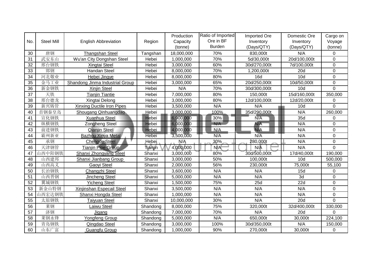|     |                   |                                        |              | Production | Ratio of Imported | <b>Imported Ore</b> | Domestic Ore | Cargo on       |
|-----|-------------------|----------------------------------------|--------------|------------|-------------------|---------------------|--------------|----------------|
| No. | <b>Steel Mill</b> | <b>English Abbreviation</b>            | Region       | Capacity   | Ore in BF         | Inventory           | Inventory    | Voyage         |
|     |                   |                                        |              | (tonne)    | <b>Burden</b>     | (Days/QTY)          | (Days/QTY)   | (tonne)        |
| 30  | 唐钢                | <b>Thangshan Steel</b>                 | Tangshan     | 18,000,000 | 70%               | 830,000t            | N/A          | 0              |
| 31  | 武安东山              | Wu'an City Dongshan Steel              | Hebei        | 1,000,000  | 70%               | 5d/30,000t          | 20d/100,000t | $\mathbf 0$    |
| 32  | 邢台钢铁              | Xingtai Steel                          | Hebei        | 3,000,000  | 60%               | 30d/270,000t        | 7d/100,000t  | $\mathbf 0$    |
| 33  | 邯钢                | <b>Handan Steel</b>                    | Hebei        | 8,000,000  | 70%               | 1,200,000t          | 20d          | $\mathbf 0$    |
| 34  | 河北敬业              | Hebei Jingye                           | Hebei        | 8,000,000  | 80%               | <b>16d</b>          | 10d          | $\mathbf 0$    |
| 35  | 金马工业              | <b>Shandong Jinma Industrial Group</b> | Hebei        | 3,000,000  | 65%               | 20d/250,000t        | 10d/50,000t  | $\overline{0}$ |
| 36  | 新金钢铁              | Xinjin Steel                           | Hebei        | N/A        | 70%               | 30d/300,000t        | 10d          | $\mathbf 0$    |
| 37  | 天铁                | <b>Tianjin Tiantie</b>                 | Hebei        | 7,000,000  | 80%               | 150,000t            | 15d/160,000t | 350,000        |
| 38  | 邢台德龙              | Xingtai Delong                         | Hebei        | 3,000,000  | 80%               | 12d/100,000t        | 12d/20,000t  | 0              |
| 39  | 新兴铸管              | <b>Xinxing Ductile Iron Pipes</b>      | Hebei        | 3,500,000  | N/A               | N/A                 | 10d          | $\Omega$       |
| 40  | 首钢秦皇岛             | Shougang Qinhuangdao                   | Hebei        | 3,000,000  | 100%              | 35d/290,000t        | N/A          | 260,000        |
| 41  | 宣化钢铁              | Xuanhua Steel                          | Hebei        | 6,900,000  | 30%               | N/A                 | 35d          | $\mathbf 0$    |
| 42  | 纵横钢铁              | <b>Zongheng Steel</b>                  | <b>Hebei</b> | 6,000,000  | N/A               | N/A                 | N/A          | 0              |
| 43  | 前进钢铁              | Qianjin Steel                          | <b>Hebei</b> | 4,000,000  | N/A               | N/A                 | N/A          | $\mathbf 0$    |
| 44  | 霸州新亚              | <b>Bazhou Xinya Metal</b>              | <b>Hebei</b> | 3,500,000  | N/A               | $N/\overline{A}$    | N/A          | $\overline{0}$ |
| 45  | 承钢                | <b>Chengde Steel</b>                   | Hebei        | N/A        | 30%               | 280,000t            | N/A          | $\mathbf 0$    |
| 46  | 天津钢管              | <b>Tianjin Pipe Group</b>              | Tianjin      | 4,000,000  | N/A               | $N/\bar{A}$         | N/A          | $\overline{0}$ |
| 47  | 山西中阳钢铁            | <b>Shanxi Zhongyang Steel</b>          | Shanxi       | 3,000,000  | 80%               | 30d/500,000t        | 17d/40,000t  | 190,000        |
| 48  | 山西建邦              | Shanxi Jianbang Group                  | Shanxi       | 3,000,000  | 50%               | 100,000t            | 10d          | 500,000        |
| 49  | 山西高义              | Gaoyi Steel                            | Shanxi       | 2,000,000  | 56%               | 230,000t            | 75,000t      | 55,100         |
| 50  | 长治钢铁              | Changzhi Steel                         | Shanxi       | 3,600,000  | N/A               | N/A                 | 15d          | $\Omega$       |
| 51  | 山西晋钢              | Jincheng Steel                         | Shanxi       | 5,000,000  | N/A               | N/A                 | 3d           | $\mathbf 0$    |
| 52  | 翼城钢铁              | <b>Yicheng Steel</b>                   | Shanxi       | 1,500,000  | 75%               | 25d                 | 22d          | $\mathbf 0$    |
| 53  | 新金山特钢             | Xinjinshan Especail Steel              | Shanxi       | 3,500,000  | N/A               | N/A                 | N/A          | $\mathbf 0$    |
| 54  | 山西宏达钢铁            | Shanxi Hongda Steel                    | Shanxi       | 1,000,000  | N/A               | N/A                 | N/A          | $\mathbf 0$    |
| 55  | 太原钢铁              | <b>Taiyuan Steel</b>                   | Shanxi       | 10,000,000 | 30%               | N/A                 | 20d          | $\Omega$       |
| 56  | 莱钢                | Laiwu Steel                            | Shandong     | 8,000,000  | 75%               | 320,000t            | 32d/400,000t | 330,000        |
| 57  | 济钢                | Jigang                                 | Shandong     | 7,000,000  | 70%               | N/A                 | 20d          | $\mathbf 0$    |
| 58  | 莱钢永锋              | Yongfeng Group                         | Shandong     | 5,000,000  | N/A               | 650,000t            | 30,000t      | 224,100        |
| 59  | 青岛钢铁              | Qingdao Steel                          | Shandong     | 3,000,000  | 100%              | 30d/350,000t        | N/A          | 150,000        |
| 60  | 山东广富              | Guangfu Group                          | Shandong     | 1,000,000  | 90%               | 270,000t            | 30,000t      | $\mathbf 0$    |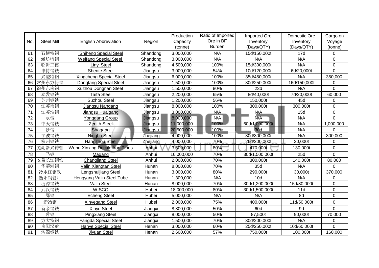|     |                   |                                 |                 | Production | Ratio of Imported | <b>Imported Ore</b> | Domestic Ore | Cargo on         |
|-----|-------------------|---------------------------------|-----------------|------------|-------------------|---------------------|--------------|------------------|
| No. | <b>Steel Mill</b> | <b>English Abbreviation</b>     | Region          | Capacity   | Ore in BF         | Inventory           | Inventory    | Voyage           |
|     |                   |                                 |                 | (tonne)    | <b>Burden</b>     | (Days/QTY)          | (Days/QTY)   | (tonne)          |
| 61  | 石横特钢              | <b>Shiheng Special Steel</b>    | Shandong        | 3,000,000  | N/A               | 15d/150,000t        | 17d          | 0                |
| 62  | 潍坊特钢              | <b>Weifang Special Steel</b>    | Shandong        | 3,000,000  | N/A               | N/A                 | N/A          | $\mathbf 0$      |
| 63  | 临沂三德              | Linyi Steel                     | Shandong        | 4,500,000  | 100%              | 15d/300,000t        | N/A          | $\boldsymbol{0}$ |
| 64  | 申特钢铁              | <b>Shente Steel</b>             | Jiangsu         | 3,000,000  | 54%               | 10d/120,000t        | 6d/20,000t   | $\overline{0}$   |
| 65  | 兴澄特钢              | <b>Xingcheng Special Steel</b>  | Jiangsu         | 6,000,000  | 100%              | 35d/450,000t        | N/A          | 350,000          |
| 66  | 常州东方特钢            | <b>Dongfang Special Steel</b>   | Jiangsu         | 1,500,000  | 100%              | 30d/250,000t        | 16d/150,000t | 0                |
| 67  | 徐州东南钢厂            | Xuzhou Dongnan Steel            | Jiangsu         | 1,500,000  | 80%               | 23d                 | N/A          | 0                |
| 68  | 泰发钢铁              | <b>Taifa Steel</b>              | Jiangsu         | 2,200,000  | 65%               | 8d/40,000t          | 7d/20,000t   | 60,000           |
| 69  | 苏州钢铁              | <b>Suzhou Steel</b>             | Jiangsu         | 1,200,000  | 56%               | 150,000t            | 45d          | 0                |
| 70  | 江苏南钢              | Jiangsu Nangang                 | Jiangsu         | 8,000,000  | 100%              | 300,000t            | 300,000t     | 0                |
| 71  | 江苏淮钢              | Jiangsu Huaigang                | <u>Jia</u> ngsu | 3,000,000  | N/A               | N/A                 | 15d          | $\mathbf 0$      |
| 72  | 永钢                | Yonggang Group                  | Jiangsu         | 8,000,000  | N/A               | N/A                 | N/A          | $\overline{0}$   |
| 73  | 中天钢铁              | <b>Zenith Steel</b>             | Jiangsu         | 11,000,000 | 100%              | 60d/1,000,000t      | N/A          | 1,000,000        |
| 74  | 沙钢                | Shagang                         | Jiangsu         | 20,500,000 | 100%              | 30d                 | N/A          | $\overline{0}$   |
| 75  | 宁波钢铁              | Ningbo Steel                    | Zhejiang        | 4,000,000  | 100%              | 30d/300,000t        | N/A          | 300,000          |
| 76  | 杭州钢铁              | <b>Hangzhou Steel</b>           | Zhejiang        | 4,000,000  | 70%               | 26d/200,000t        | 30,000t      | 0                |
| 77  | 芜湖新兴铸管            | Wuhu Xinxing Ductile Iron Pipes | Anhui           | 3,500,000  | 80%               | 470,000t            | 130,000t     | $\mathbf 0$      |
| 78  | 马钢                | Magang                          | Anhui           | 16,000,000 | 70%               | 30d/1,500,000t      | 25d          | $\overline{0}$   |
| 79  | 安徽长江钢铁            | <b>Changjiang Steel</b>         | Anhui           | 2,000,000  | 70%               | 300,000t            | 140,000t     | 80,000           |
| 80  | 华菱湘钢              | Valin Xiangtan Steel            | Hunan           | 8,000,000  | 70%               | 35d                 | N/A          | $\Omega$         |
| 81  | 冷水江钢铁             | Lengshuijiang Steel             | Hunan           | 3,000,000  | 80%               | 290,000t            | 30,000t      | 370,000          |
| 82  | 衡阳钢管厂             | Hengyang Valin Steel Tube       | Hunan           | 1,300,000  | N/A               | 10d                 | N/A          | 0                |
| 83  | 涟源钢铁              | Valin Steel                     | Hunan           | 8,000,000  | 70%               | 30d/1,200,000t      | 15d/80,000t  | $\mathbf 0$      |
| 84  | 武汉钢铁              | <b>WISCO</b>                    | Hubei           | 18,000,000 | 80%               | 30d/1,500,000t      | 11d          | $\mathbf 0$      |
| 85  | 鄂钢                | <b>Echeng Steel</b>             | Hubei           | 5,000,000  | N/A               | N/A                 | 8d           | $\boldsymbol{0}$ |
| 86  | 新冶钢               | <b>Xinyegang Steel</b>          | Hubei           | 2,000,000  | 75%               | 400,000t            | 11d/50,000t  | $\mathbf 0$      |
| 87  | 新余钢铁              | <b>Xinyu Steel</b>              | Jiangxi         | 8,800,000  | 50%               | 60d                 | 9d           | $\overline{0}$   |
| 88  | 萍钢                | <b>Pingxiang Steel</b>          | Jiangxi         | 8,000,000  | 50%               | 87,500t             | 90,000t      | 70,000           |
| 89  | 方大特钢              | Fangda Special Steel            | Jiangxi         | 1,500,000  | 70%               | 30d/200,000t        | N/A          | 0                |
| 90  | 南阳汉冶              | <b>Hanye Special Steel</b>      | Henan           | 3,000,000  | 60%               | 25d/250,000t        | 10d/60,000t  | $\overline{0}$   |
| 91  | 济源钢铁              | Jiyuan Steel                    | Henan           | 2,600,000  | 57%               | 750,000t            | 100,000t     | 160,000          |